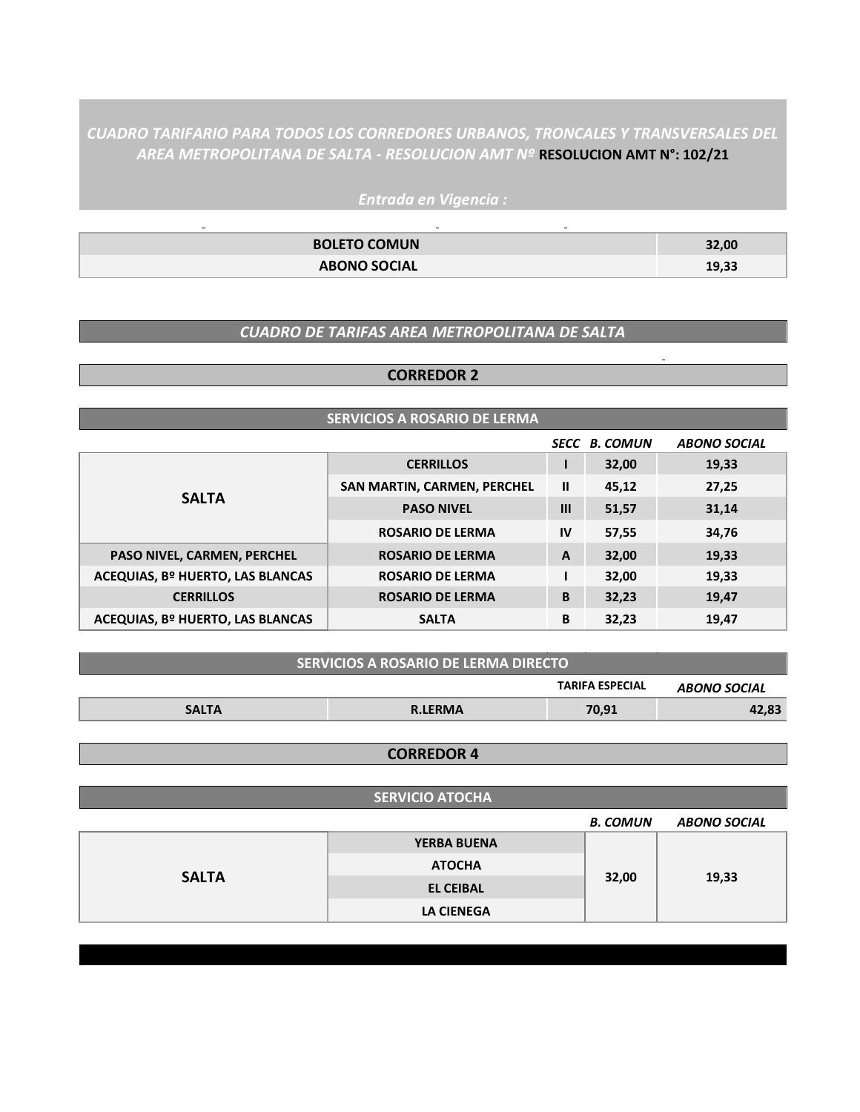*CUADRO TARIFARIO PARA TODOS LOS CORREDORES URBANOS, TRONCALES Y TRANSVERSALES DEL AREA METROPOLITANA DE SALTA - RESOLUCION AMT Nº* **RESOLUCION AMT N°: 102/21**

> *Entrada en Vigencia :*  $\sim 10^{-1}$

 $\Box$ 

| <b>BOLETO COMUN</b> | 32,00 |
|---------------------|-------|
| <b>ABONO SOCIAL</b> | 19,33 |

 $\Box$ 

#### *CUADRO DE TARIFAS AREA METROPOLITANA DE SALTA*

#### **CORREDOR 2**

# **SERVICIOS A ROSARIO DE LERMA**

|                                  |                                    |               | <b>SECC B. COMUN</b> | <b>ABONO SOCIAL</b> |
|----------------------------------|------------------------------------|---------------|----------------------|---------------------|
|                                  | <b>CERRILLOS</b>                   |               | 32,00                | 19,33               |
|                                  | <b>SAN MARTIN, CARMEN, PERCHEL</b> | $\mathbf{II}$ | 45,12                | 27,25               |
| <b>SALTA</b>                     | <b>PASO NIVEL</b>                  | $\mathbf{m}$  | 51,57                | 31,14               |
|                                  | <b>ROSARIO DE LERMA</b>            | IV            | 57,55                | 34,76               |
| PASO NIVEL, CARMEN, PERCHEL      | <b>ROSARIO DE LERMA</b>            | $\mathbf{A}$  | 32,00                | 19,33               |
| ACEQUIAS, Bº HUERTO, LAS BLANCAS | <b>ROSARIO DE LERMA</b>            |               | 32,00                | 19,33               |
| <b>CERRILLOS</b>                 | <b>ROSARIO DE LERMA</b>            | B             | 32,23                | 19,47               |
| ACEQUIAS, Bº HUERTO, LAS BLANCAS | <b>SALTA</b>                       | В             | 32,23                | 19,47               |

| <b>SERVICIOS A ROSARIO DE LERMA DIRECTO !</b> |                        |       |       |  |  |  |
|-----------------------------------------------|------------------------|-------|-------|--|--|--|
|                                               | <b>TARIFA ESPECIAL</b> |       |       |  |  |  |
| <b>SALTA</b>                                  | <b>R.LERMA</b>         | 70,91 | 42,83 |  |  |  |

#### **CORREDOR 4**

|              | <b>SERVICIO ATOCHA</b> |                 |                     |
|--------------|------------------------|-----------------|---------------------|
|              |                        | <b>B. COMUN</b> | <b>ABONO SOCIAL</b> |
| <b>SALTA</b> | <b>YERBA BUENA</b>     |                 |                     |
|              | <b>ATOCHA</b>          |                 | 19,33               |
|              | <b>EL CEIBAL</b>       | 32,00           |                     |
|              | <b>LA CIENEGA</b>      |                 |                     |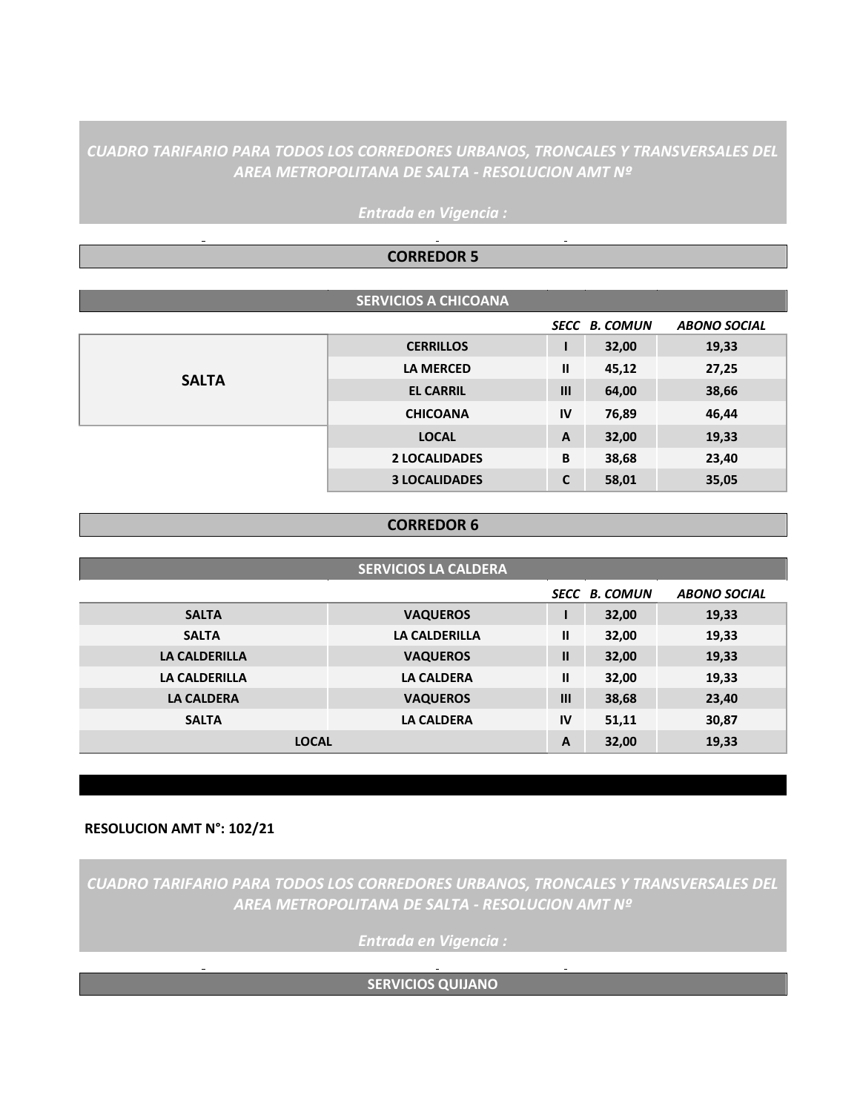# *CUADRO TARIFARIO PARA TODOS LOS CORREDORES URBANOS, TRONCALES Y TRANSVERSALES DEL AREA METROPOLITANA DE SALTA - RESOLUCION AMT Nº*

|              | <b>CORREDOR 5</b>           |               |                      |                     |
|--------------|-----------------------------|---------------|----------------------|---------------------|
|              |                             |               |                      |                     |
|              | <b>SERVICIOS A CHICOANA</b> |               |                      |                     |
|              |                             |               | <b>SECC B. COMUN</b> | <b>ABONO SOCIAL</b> |
|              | <b>CERRILLOS</b>            |               | 32,00                | 19,33               |
|              | <b>LA MERCED</b>            | $\mathbf{II}$ | 45,12                | 27,25               |
| <b>SALTA</b> | <b>EL CARRIL</b>            | III           | 64,00                | 38,66               |
|              | <b>CHICOANA</b>             | IV            | 76,89                | 46,44               |
|              | <b>LOCAL</b>                | $\mathbf{A}$  | 32,00                | 19,33               |
|              | <b>2 LOCALIDADES</b>        | B             | 38,68                | 23,40               |
|              | <b>3 LOCALIDADES</b>        | $\mathbf c$   | 58,01                | 35,05               |
|              |                             |               |                      |                     |

# *Entrada en Vigencia :*

#### **CORREDOR 6**

| <b>SERVICIOS LA CALDERA</b> |                      |              |                      |                     |
|-----------------------------|----------------------|--------------|----------------------|---------------------|
|                             |                      |              | <b>SECC B. COMUN</b> | <b>ABONO SOCIAL</b> |
| <b>SALTA</b>                | <b>VAQUEROS</b>      |              | 32,00                | 19,33               |
| <b>SALTA</b>                | <b>LA CALDERILLA</b> | $\mathbf{I}$ | 32,00                | 19,33               |
| <b>LA CALDERILLA</b>        | <b>VAQUEROS</b>      | $\mathbf{I}$ | 32,00                | 19,33               |
| <b>LA CALDERILLA</b>        | <b>LA CALDERA</b>    | $\mathbf{I}$ | 32,00                | 19,33               |
| <b>LA CALDERA</b>           | <b>VAQUEROS</b>      | $\mathbf{m}$ | 38,68                | 23,40               |
| <b>SALTA</b>                | <b>LA CALDERA</b>    | IV           | 51,11                | 30,87               |
| <b>LOCAL</b>                |                      | $\mathbf{A}$ | 32,00                | 19,33               |

### **RESOLUCION AMT N°: 102/21**

*CUADRO TARIFARIO PARA TODOS LOS CORREDORES URBANOS, TRONCALES Y TRANSVERSALES DEL AREA METROPOLITANA DE SALTA - RESOLUCION AMT Nº* 

*Entrada en Vigencia :*

**SERVICIOS QUIJANO**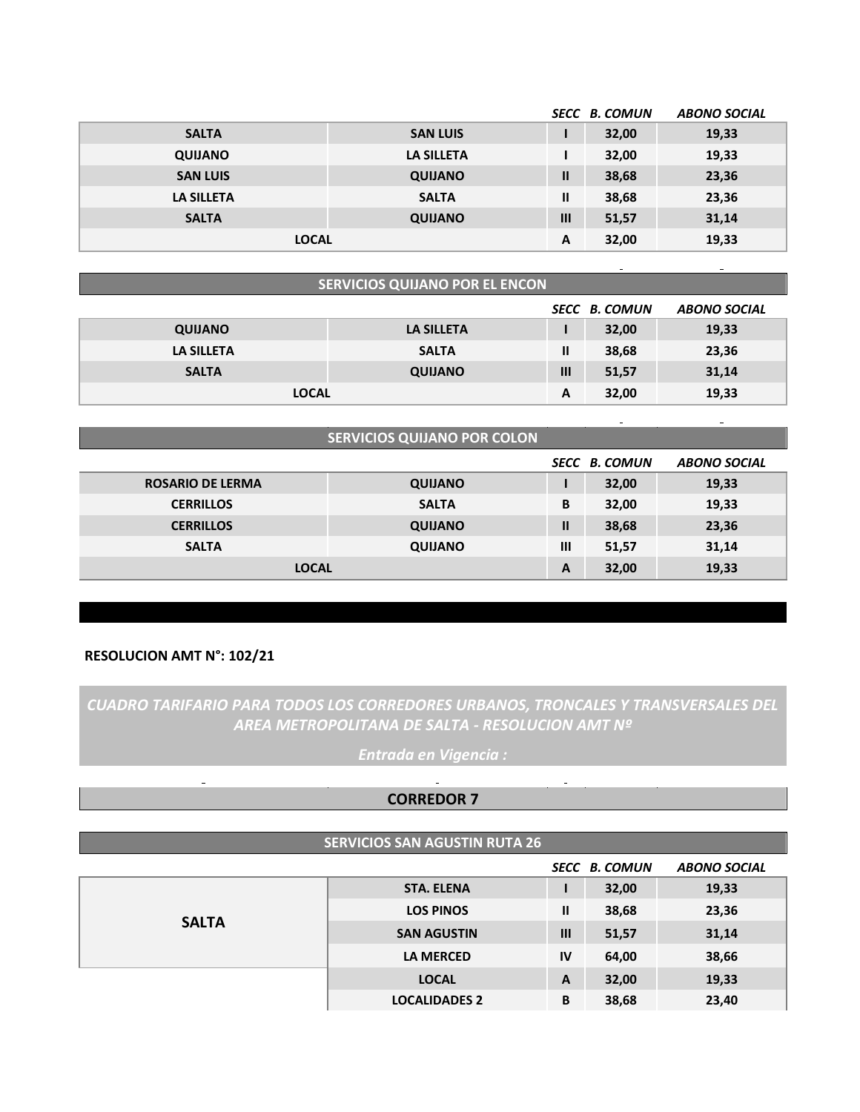|                   |                   |                | <b>SECC B. COMUN</b> | <b>ABONO SOCIAL</b> |
|-------------------|-------------------|----------------|----------------------|---------------------|
| <b>SALTA</b>      | <b>SAN LUIS</b>   |                | 32,00                | 19,33               |
| <b>QUIJANO</b>    | <b>LA SILLETA</b> |                | 32,00                | 19,33               |
| <b>SAN LUIS</b>   | <b>QUIJANO</b>    | $\mathbf{I}$   | 38,68                | 23,36               |
| <b>LA SILLETA</b> | <b>SALTA</b>      | $\mathbf{I}$   | 38,68                | 23,36               |
| <b>SALTA</b>      | <b>QUIJANO</b>    | $\mathbf{III}$ | 51,57                | 31,14               |
| <b>LOCAL</b>      |                   | A              | 32,00                | 19,33               |

| <b>SERVICIOS QUIJANO POR EL ENCON</b>       |                   |                |       |       |  |  |
|---------------------------------------------|-------------------|----------------|-------|-------|--|--|
| <b>SECC B. COMUN</b><br><b>ABONO SOCIAL</b> |                   |                |       |       |  |  |
| <b>QUIJANO</b>                              | <b>LA SILLETA</b> |                | 32,00 | 19,33 |  |  |
| <b>LA SILLETA</b>                           | <b>SALTA</b>      | $\mathbf{I}$   | 38,68 | 23,36 |  |  |
| <b>SALTA</b>                                | <b>QUIJANO</b>    | $\mathbf{III}$ | 51,57 | 31,14 |  |  |
| <b>LOCAL</b>                                |                   | A              | 32,00 | 19,33 |  |  |

| <b>SERVICIOS QUIJANO POR COLON</b> |                |                |                      |                     |
|------------------------------------|----------------|----------------|----------------------|---------------------|
|                                    |                |                | <b>SECC B. COMUN</b> | <b>ABONO SOCIAL</b> |
| <b>ROSARIO DE LERMA</b>            | <b>QUIJANO</b> |                | 32,00                | 19,33               |
| <b>CERRILLOS</b>                   | <b>SALTA</b>   | B              | 32,00                | 19,33               |
| <b>CERRILLOS</b>                   | <b>QUIJANO</b> | $\mathbf{I}$   | 38,68                | 23,36               |
| <b>SALTA</b>                       | <b>QUIJANO</b> | $\mathbf{III}$ | 51,57                | 31,14               |
| <b>LOCAL</b>                       |                | A              | 32,00                | 19,33               |

#### **RESOLUCION AMT N°: 102/21**

# *CUADRO TARIFARIO PARA TODOS LOS CORREDORES URBANOS, TRONCALES Y TRANSVERSALES DEL AREA METROPOLITANA DE SALTA - RESOLUCION AMT Nº*

*Entrada en Vigencia :*

## **CORREDOR 7**

|              | <b>SERVICIOS SAN AGUSTIN RUTA 26</b> |                |                      |                     |
|--------------|--------------------------------------|----------------|----------------------|---------------------|
|              |                                      |                | <b>SECC B. COMUN</b> | <b>ABONO SOCIAL</b> |
| <b>SALTA</b> | <b>STA. ELENA</b>                    |                | 32,00                | 19,33               |
|              | <b>LOS PINOS</b>                     | Ш              | 38,68                | 23,36               |
|              | <b>SAN AGUSTIN</b>                   | $\mathbf{III}$ | 51,57                | 31,14               |
|              | <b>LA MERCED</b>                     | <b>IV</b>      | 64,00                | 38,66               |
|              | <b>LOCAL</b>                         | A              | 32,00                | 19,33               |
|              | <b>LOCALIDADES 2</b>                 | B              | 38,68                | 23,40               |